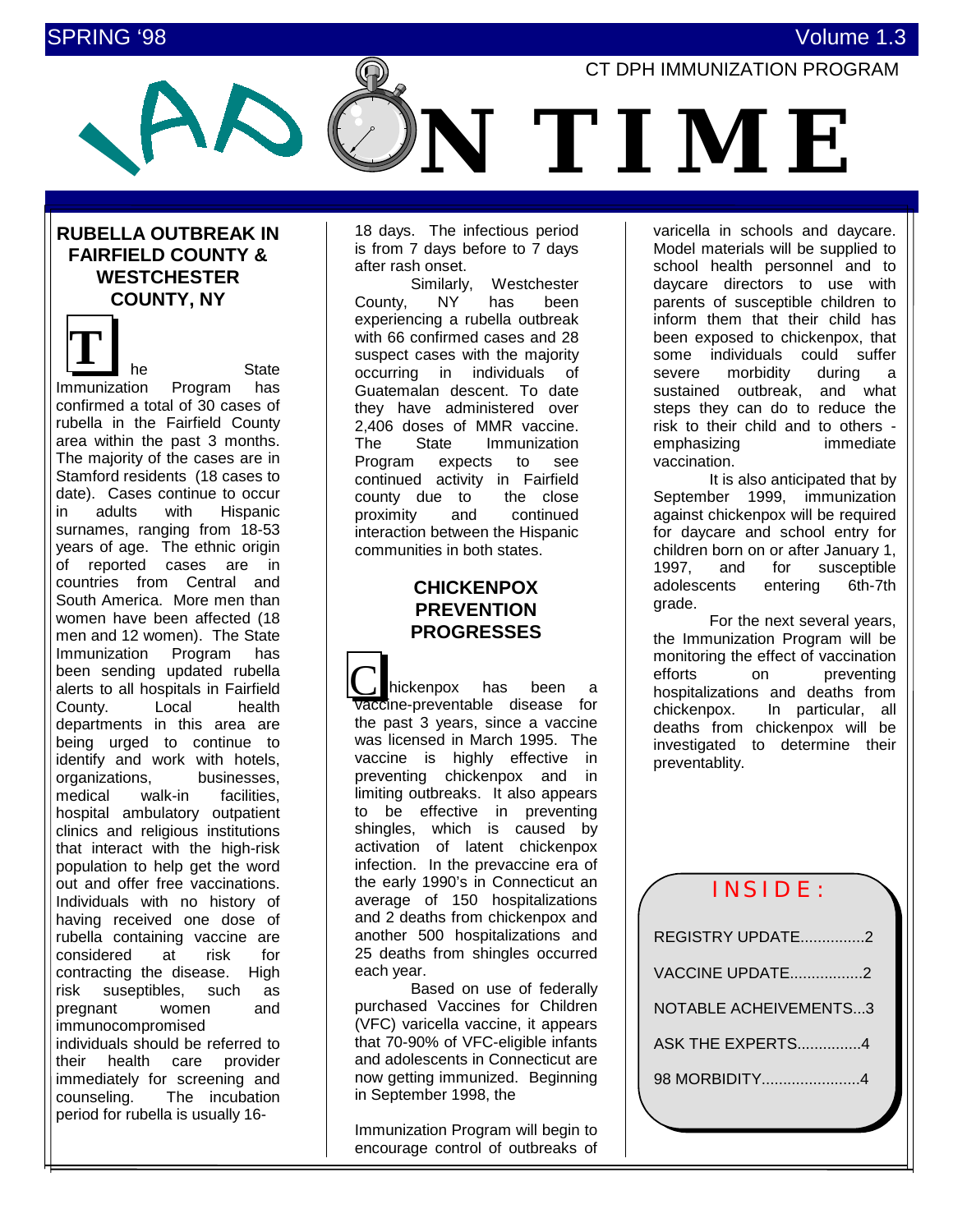# SPRING '98 Volume 1.3



# **RUBELLA OUTBREAK IN FAIRFIELD COUNTY & WESTCHESTER COUNTY, NY**

he State Immunization Program has confirmed a total of 30 cases of rubella in the Fairfield County area within the past 3 months. The majority of the cases are in Stamford residents (18 cases to date). Cases continue to occur in adults with Hispanic surnames, ranging from 18-53 years of age. The ethnic origin of reported cases are in countries from Central and South America. More men than women have been affected (18 men and 12 women). The State Immunization Program has been sending updated rubella alerts to all hospitals in Fairfield County. Local health departments in this area are being urged to continue to identify and work with hotels, organizations, businesses,<br>medical walk-in facilities. facilities. hospital ambulatory outpatient clinics and religious institutions that interact with the high-risk population to help get the word out and offer free vaccinations. Individuals with no history of having received one dose of rubella containing vaccine are considered at risk for contracting the disease. High risk suseptibles, such as pregnant women and immunocompromised individuals should be referred to their health care provider immediately for screening and counseling. The incubation period for rubella is usually 16- **T**

18 days. The infectious period is from 7 days before to 7 days after rash onset.

Similarly, Westchester County, NY has been experiencing a rubella outbreak with 66 confirmed cases and 28 suspect cases with the majority occurring in individuals of Guatemalan descent. To date they have administered over 2,406 doses of MMR vaccine. The State Immunization Program expects to see continued activity in Fairfield county due to the close proximity and continued interaction between the Hispanic communities in both states.

# **CHICKENPOX PREVENTION PROGRESSES**

 hickenpox has been a accine-preventable disease for the past 3 years, since a vaccine was licensed in March 1995. The vaccine is highly effective in preventing chickenpox and in limiting outbreaks. It also appears to be effective in preventing shingles, which is caused by activation of latent chickenpox infection. In the prevaccine era of the early 1990's in Connecticut an average of 150 hospitalizations and 2 deaths from chickenpox and another 500 hospitalizations and 25 deaths from shingles occurred each year.  $\overline{\underline{C}}$ 

Based on use of federally purchased Vaccines for Children (VFC) varicella vaccine, it appears that 70-90% of VFC-eligible infants and adolescents in Connecticut are now getting immunized. Beginning in September 1998, the

Immunization Program will begin to encourage control of outbreaks of

varicella in schools and daycare. Model materials will be supplied to school health personnel and to daycare directors to use with parents of susceptible children to inform them that their child has been exposed to chickenpox, that some individuals could suffer severe morbidity during a sustained outbreak, and what steps they can do to reduce the risk to their child and to others emphasizing immediate vaccination.

It is also anticipated that by September 1999, immunization against chickenpox will be required for daycare and school entry for children born on or after January 1, 1997, and for susceptible adolescents entering 6th-7th grade.

For the next several years, the Immunization Program will be monitoring the effect of vaccination efforts on preventing hospitalizations and deaths from chickenpox. In particular, all deaths from chickenpox will be investigated to determine their preventablity.

# INSIDE:

| REGISTRY UPDATE2             |
|------------------------------|
| VACCINE UPDATE2              |
| <b>NOTABLE ACHEIVEMENTS3</b> |
| ASK THE EXPERTS4             |
|                              |
|                              |
|                              |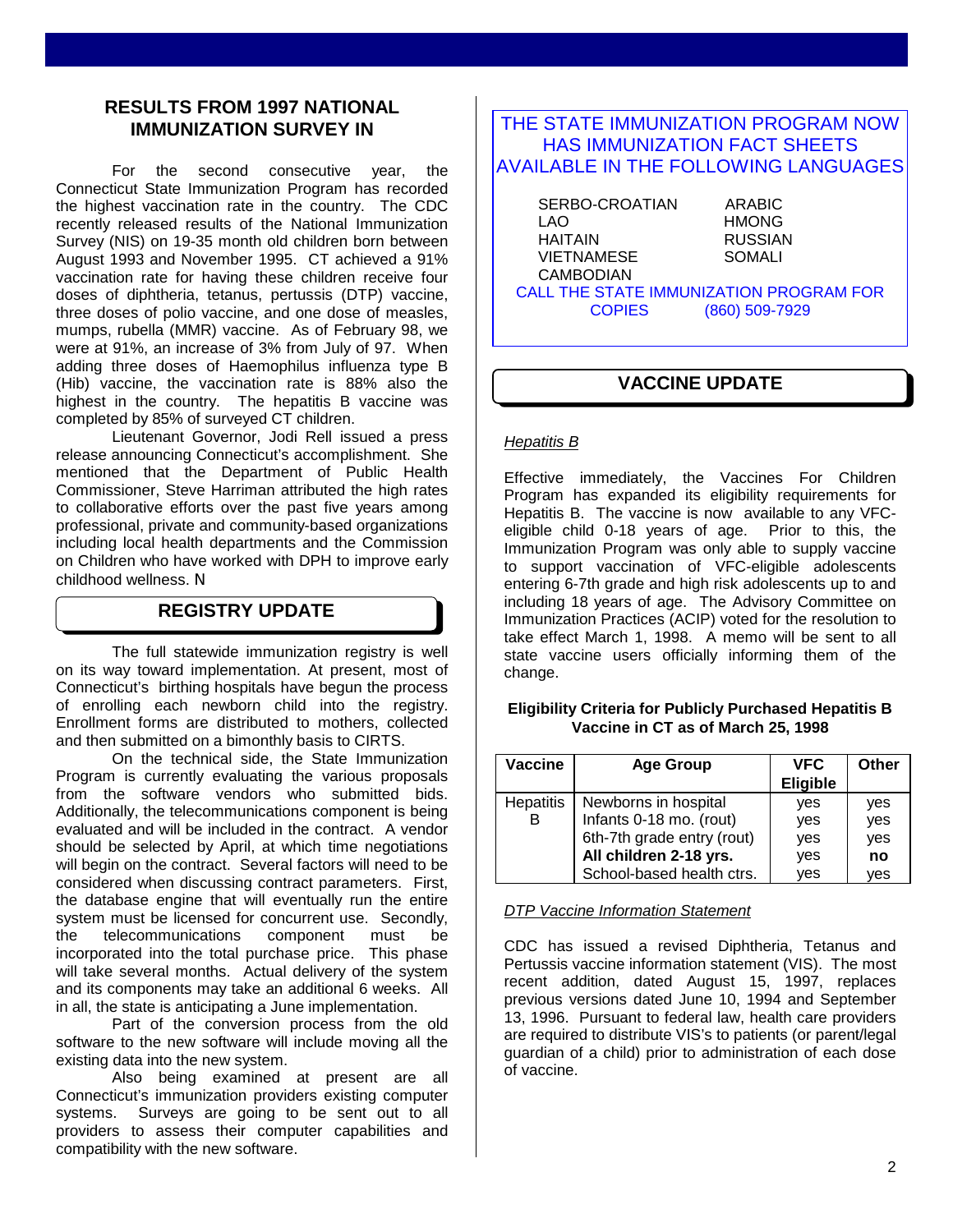# **RESULTS FROM 1997 NATIONAL IMMUNIZATION SURVEY IN**

For the second consecutive year, the Connecticut State Immunization Program has recorded the highest vaccination rate in the country. The CDC recently released results of the National Immunization Survey (NIS) on 19-35 month old children born between August 1993 and November 1995. CT achieved a 91% vaccination rate for having these children receive four doses of diphtheria, tetanus, pertussis (DTP) vaccine, three doses of polio vaccine, and one dose of measles, mumps, rubella (MMR) vaccine. As of February 98, we were at 91%, an increase of 3% from July of 97. When adding three doses of Haemophilus influenza type B (Hib) vaccine, the vaccination rate is 88% also the highest in the country. The hepatitis B vaccine was completed by 85% of surveyed CT children.

Lieutenant Governor, Jodi Rell issued a press release announcing Connecticut's accomplishment. She mentioned that the Department of Public Health Commissioner, Steve Harriman attributed the high rates to collaborative efforts over the past five years among professional, private and community-based organizations including local health departments and the Commission on Children who have worked with DPH to improve early childhood wellness. Ν

# **REGISTRY UPDATE**

The full statewide immunization registry is well on its way toward implementation. At present, most of Connecticut's birthing hospitals have begun the process of enrolling each newborn child into the registry. Enrollment forms are distributed to mothers, collected and then submitted on a bimonthly basis to CIRTS.

On the technical side, the State Immunization Program is currently evaluating the various proposals from the software vendors who submitted bids. Additionally, the telecommunications component is being evaluated and will be included in the contract. A vendor should be selected by April, at which time negotiations will begin on the contract. Several factors will need to be considered when discussing contract parameters. First, the database engine that will eventually run the entire system must be licensed for concurrent use. Secondly, the telecommunications component must be incorporated into the total purchase price. This phase will take several months. Actual delivery of the system and its components may take an additional 6 weeks. All in all, the state is anticipating a June implementation.

Part of the conversion process from the old software to the new software will include moving all the existing data into the new system.

Also being examined at present are all Connecticut's immunization providers existing computer systems. Surveys are going to be sent out to all providers to assess their computer capabilities and compatibility with the new software.

## THE STATE IMMUNIZATION PROGRAM NOW HAS IMMUNIZATION FACT SHEETS AVAILABLE IN THE FOLLOWING LANGUAGES

 SERBO-CROATIAN ARABIC LAO HMONG<br>HAITAIN RUSSIAI VIETNAMESE CAMBODIAN

RUSSIAN<br>SOMALI

CALL THE STATE IMMUNIZATION PROGRAM FOR COPIES (860) 509-7929

# **VACCINE UPDATE**

## *Hepatitis B*

Effective immediately, the Vaccines For Children Program has expanded its eligibility requirements for Hepatitis B. The vaccine is now available to any VFCeligible child 0-18 years of age. Prior to this, the Immunization Program was only able to supply vaccine to support vaccination of VFC-eligible adolescents entering 6-7th grade and high risk adolescents up to and including 18 years of age. The Advisory Committee on Immunization Practices (ACIP) voted for the resolution to take effect March 1, 1998. A memo will be sent to all state vaccine users officially informing them of the change.

## **Eligibility Criteria for Publicly Purchased Hepatitis B Vaccine in CT as of March 25, 1998**

| Vaccine          | <b>Age Group</b>           | <b>VFC</b><br><b>Eligible</b> | <b>Other</b> |
|------------------|----------------------------|-------------------------------|--------------|
| <b>Hepatitis</b> | Newborns in hospital       | yes                           | yes          |
| в                | Infants 0-18 mo. (rout)    | yes                           | yes          |
|                  | 6th-7th grade entry (rout) | yes                           | yes          |
|                  | All children 2-18 yrs.     | yes                           | no           |
|                  | School-based health ctrs.  | ves                           | ves          |

*DTP Vaccine Information Statement*

CDC has issued a revised Diphtheria, Tetanus and Pertussis vaccine information statement (VIS). The most recent addition, dated August 15, 1997, replaces previous versions dated June 10, 1994 and September 13, 1996. Pursuant to federal law, health care providers are required to distribute VIS's to patients (or parent/legal guardian of a child) prior to administration of each dose of vaccine.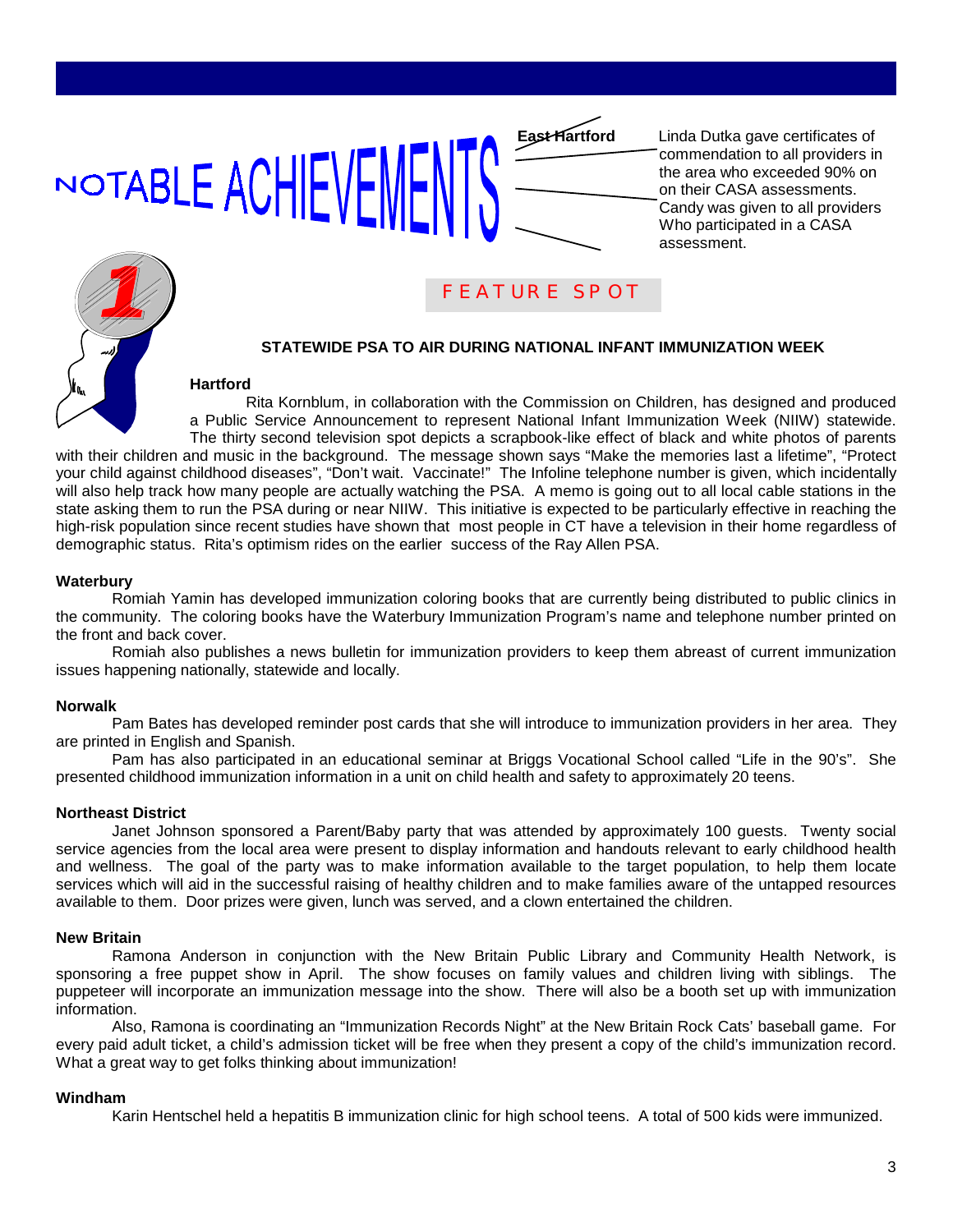# NOTABLE ACHIEVEMF

**East Hartford** Linda Dutka gave certificates of commendation to all providers in the area who exceeded 90% on on their CASA assessments. Candy was given to all providers Who participated in a CASA assessment.



# FEATURE SPOT

## **STATEWIDE PSA TO AIR DURING NATIONAL INFANT IMMUNIZATION WEEK**

## **Hartford**

Rita Kornblum, in collaboration with the Commission on Children, has designed and produced a Public Service Announcement to represent National Infant Immunization Week (NIIW) statewide. The thirty second television spot depicts a scrapbook-like effect of black and white photos of parents with their children and music in the background. The message shown says "Make the memories last a lifetime", "Protect your child against childhood diseases", "Don't wait. Vaccinate!" The Infoline telephone number is given, which incidentally will also help track how many people are actually watching the PSA. A memo is going out to all local cable stations in the state asking them to run the PSA during or near NIIW. This initiative is expected to be particularly effective in reaching the high-risk population since recent studies have shown that most people in CT have a television in their home regardless of demographic status. Rita's optimism rides on the earlier success of the Ray Allen PSA.

## **Waterbury**

Romiah Yamin has developed immunization coloring books that are currently being distributed to public clinics in the community. The coloring books have the Waterbury Immunization Program's name and telephone number printed on the front and back cover.

Romiah also publishes a news bulletin for immunization providers to keep them abreast of current immunization issues happening nationally, statewide and locally.

## **Norwalk**

Pam Bates has developed reminder post cards that she will introduce to immunization providers in her area. They are printed in English and Spanish.

Pam has also participated in an educational seminar at Briggs Vocational School called "Life in the 90's". She presented childhood immunization information in a unit on child health and safety to approximately 20 teens.

## **Northeast District**

Janet Johnson sponsored a Parent/Baby party that was attended by approximately 100 guests. Twenty social service agencies from the local area were present to display information and handouts relevant to early childhood health and wellness. The goal of the party was to make information available to the target population, to help them locate services which will aid in the successful raising of healthy children and to make families aware of the untapped resources available to them. Door prizes were given, lunch was served, and a clown entertained the children.

## **New Britain**

Ramona Anderson in conjunction with the New Britain Public Library and Community Health Network, is sponsoring a free puppet show in April. The show focuses on family values and children living with siblings. The puppeteer will incorporate an immunization message into the show. There will also be a booth set up with immunization information.

Also, Ramona is coordinating an "Immunization Records Night" at the New Britain Rock Cats' baseball game. For every paid adult ticket, a child's admission ticket will be free when they present a copy of the child's immunization record. What a great way to get folks thinking about immunization!

## **Windham**

Karin Hentschel held a hepatitis B immunization clinic for high school teens. A total of 500 kids were immunized.